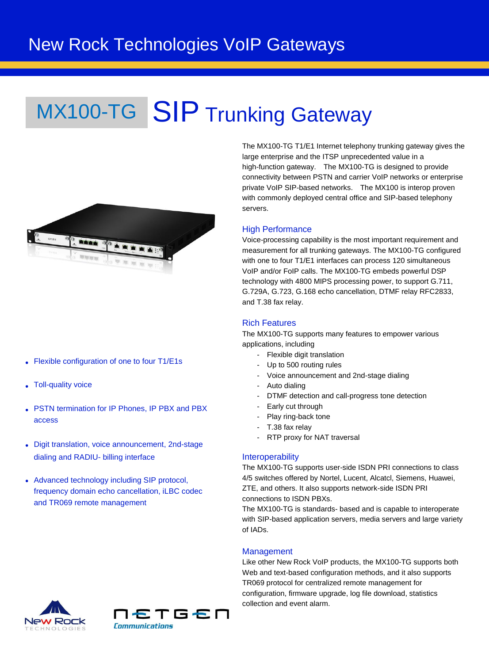# MX100-TG SIP Trunking Gateway



- Flexible configuration of one to four T1/E1s
- Toll-quality voice
- PSTN termination for IP Phones, IP PBX and PBX access
- Digit translation, voice announcement, 2nd-stage dialing and RADIU- billing interface
- Advanced technology including SIP protocol, frequency domain echo cancellation, iLBC codec and TR069 remote management

The MX100-TG T1/E1 Internet telephony trunking gateway gives the large enterprise and the ITSP unprecedented value in a high-function gateway. The MX100-TG is designed to provide connectivity between PSTN and carrier VoIP networks or enterprise private VoIP SIP-based networks. The MX100 is interop proven with commonly deployed central office and SIP-based telephony servers.

#### **High Performance**

Voice-processing capability is the most important requirement and measurement for all trunking gateways. The MX100-TG configured with one to four T1/E1 interfaces can process 120 simultaneous VoIP and/or FoIP calls. The MX100-TG embeds powerful DSP technology with 4800 MIPS processing power, to support G.711, G.729A, G.723, G.168 echo cancellation, DTMF relay RFC2833, and T.38 fax relay.

#### Rich Features

The MX100-TG supports many features to empower various applications, including

- Flexible digit translation
- Up to 500 routing rules
- Voice announcement and 2nd-stage dialing
- Auto dialing
- DTMF detection and call-progress tone detection
- Early cut through
- Play ring-back tone
- T.38 fax relay
- RTP proxy for NAT traversal

#### **Interoperability**

The MX100-TG supports user-side ISDN PRI connections to class 4/5 switches offered by Nortel, Lucent, Alcatcl, Siemens, Huawei, ZTE, and others. It also supports network-side ISDN PRI connections to ISDN PBXs.

The MX100-TG is standards- based and is capable to interoperate with SIP-based application servers, media servers and large variety of IADs.

#### **Management**

Like other New Rock VoIP products, the MX100-TG supports both Web and text-based configuration methods, and it also supports TR069 protocol for centralized remote management for configuration, firmware upgrade, log file download, statistics collection and event alarm.